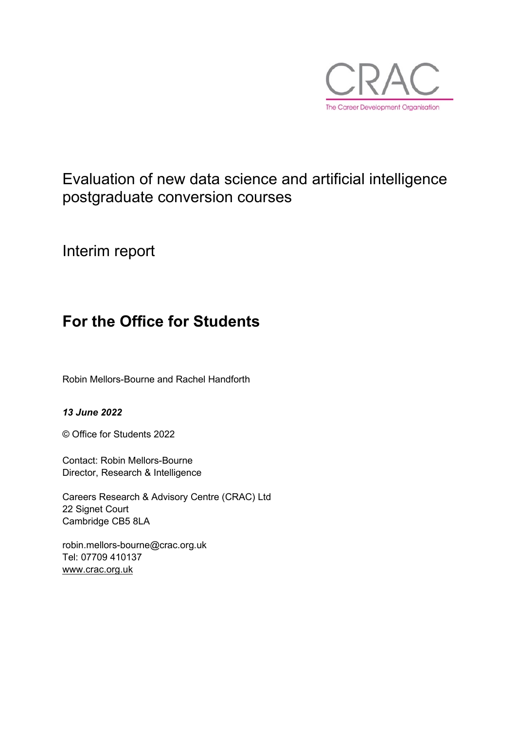

## Evaluation of new data science and artificial intelligence postgraduate conversion courses

Interim report

## **For the Office for Students**

Robin Mellors-Bourne and Rachel Handforth

#### *13 June 2022*

© Office for Students 2022

Contact: Robin Mellors-Bourne Director, Research & Intelligence

Careers Research & Advisory Centre (CRAC) Ltd 22 Signet Court Cambridge CB5 8LA

robin.mellors-bourne@crac.org.uk Tel: 07709 410137 [www.crac.org.uk](http://www.crac.org.uk/)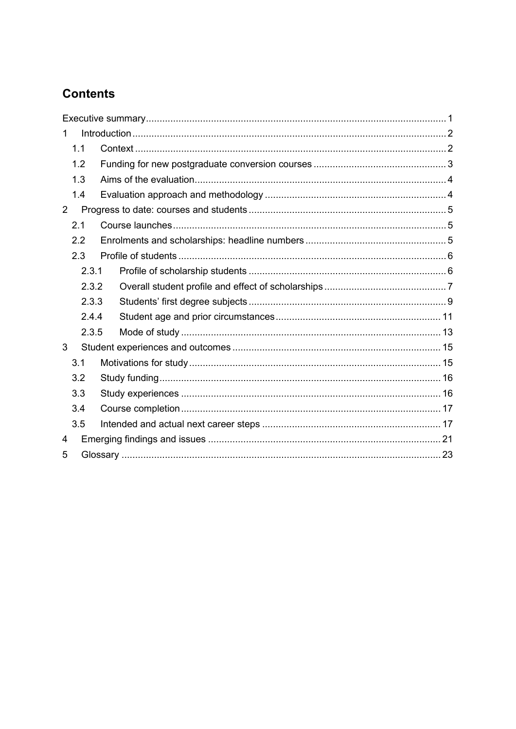## **Contents**

| 1   |       |  |  |  |  |  |
|-----|-------|--|--|--|--|--|
|     | 1.1   |  |  |  |  |  |
|     | 1.2   |  |  |  |  |  |
| 1.3 |       |  |  |  |  |  |
|     | 1.4   |  |  |  |  |  |
| 2   |       |  |  |  |  |  |
|     | 2.1   |  |  |  |  |  |
|     | 2.2   |  |  |  |  |  |
|     | 2.3   |  |  |  |  |  |
|     | 2.3.1 |  |  |  |  |  |
|     | 2.3.2 |  |  |  |  |  |
|     | 2.3.3 |  |  |  |  |  |
|     | 2.4.4 |  |  |  |  |  |
|     | 2.3.5 |  |  |  |  |  |
| 3   |       |  |  |  |  |  |
|     | 3.1   |  |  |  |  |  |
|     | 3.2   |  |  |  |  |  |
|     | 3.3   |  |  |  |  |  |
|     | 3.4   |  |  |  |  |  |
|     | 3.5   |  |  |  |  |  |
| 4   |       |  |  |  |  |  |
| 5   |       |  |  |  |  |  |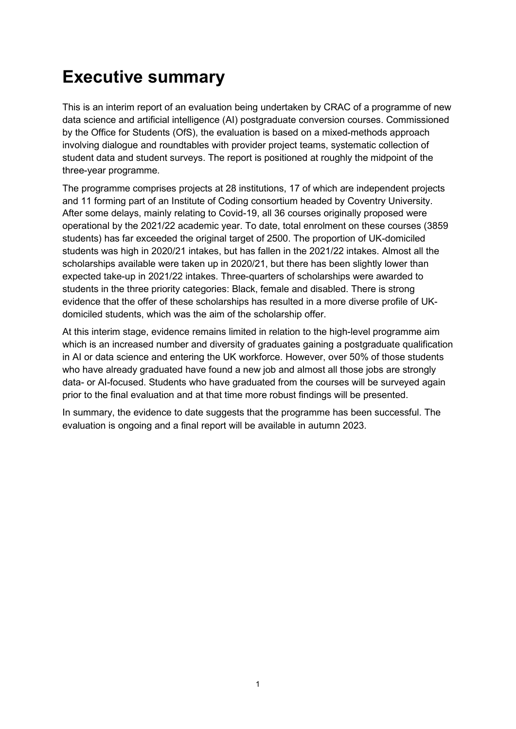# <span id="page-2-0"></span>**Executive summary**

This is an interim report of an evaluation being undertaken by CRAC of a programme of new data science and artificial intelligence (AI) postgraduate conversion courses. Commissioned by the Office for Students (OfS), the evaluation is based on a mixed-methods approach involving dialogue and roundtables with provider project teams, systematic collection of student data and student surveys. The report is positioned at roughly the midpoint of the three-year programme.

The programme comprises projects at 28 institutions, 17 of which are independent projects and 11 forming part of an Institute of Coding consortium headed by Coventry University. After some delays, mainly relating to Covid-19, all 36 courses originally proposed were operational by the 2021/22 academic year. To date, total enrolment on these courses (3859 students) has far exceeded the original target of 2500. The proportion of UK-domiciled students was high in 2020/21 intakes, but has fallen in the 2021/22 intakes. Almost all the scholarships available were taken up in 2020/21, but there has been slightly lower than expected take-up in 2021/22 intakes. Three-quarters of scholarships were awarded to students in the three priority categories: Black, female and disabled. There is strong evidence that the offer of these scholarships has resulted in a more diverse profile of UKdomiciled students, which was the aim of the scholarship offer.

At this interim stage, evidence remains limited in relation to the high-level programme aim which is an increased number and diversity of graduates gaining a postgraduate qualification in AI or data science and entering the UK workforce. However, over 50% of those students who have already graduated have found a new job and almost all those jobs are strongly data- or AI-focused. Students who have graduated from the courses will be surveyed again prior to the final evaluation and at that time more robust findings will be presented.

In summary, the evidence to date suggests that the programme has been successful. The evaluation is ongoing and a final report will be available in autumn 2023.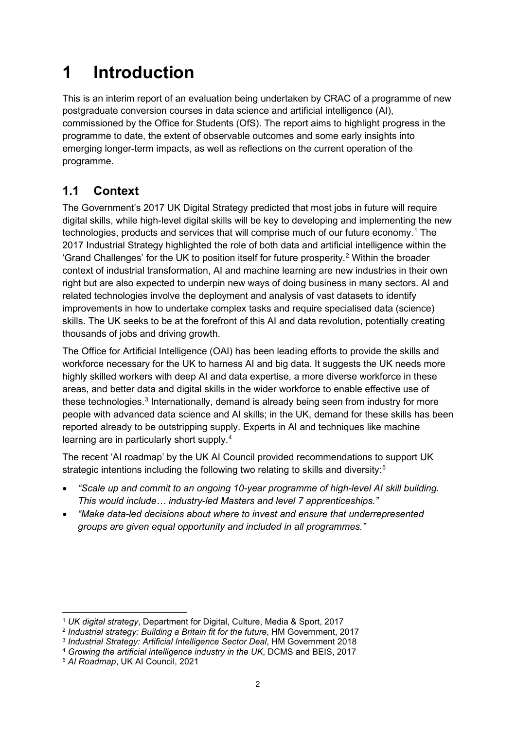# <span id="page-3-0"></span>**1 Introduction**

This is an interim report of an evaluation being undertaken by CRAC of a programme of new postgraduate conversion courses in data science and artificial intelligence (AI), commissioned by the Office for Students (OfS). The report aims to highlight progress in the programme to date, the extent of observable outcomes and some early insights into emerging longer-term impacts, as well as reflections on the current operation of the programme.

## <span id="page-3-1"></span>**1.1 Context**

The Government's 2017 UK Digital Strategy predicted that most jobs in future will require digital skills, while high-level digital skills will be key to developing and implementing the new technologies, products and services that will comprise much of our future economy.[1](#page-3-2) The 2017 Industrial Strategy highlighted the role of both data and artificial intelligence within the 'Grand Challenges' for the UK to position itself for future prosperity.<sup>[2](#page-3-3)</sup> Within the broader context of industrial transformation, AI and machine learning are new industries in their own right but are also expected to underpin new ways of doing business in many sectors. AI and related technologies involve the deployment and analysis of vast datasets to identify improvements in how to undertake complex tasks and require specialised data (science) skills. The UK seeks to be at the forefront of this AI and data revolution, potentially creating thousands of jobs and driving growth.

The Office for Artificial Intelligence (OAI) has been leading efforts to provide the skills and workforce necessary for the UK to harness AI and big data. It suggests the UK needs more highly skilled workers with deep AI and data expertise, a more diverse workforce in these areas, and better data and digital skills in the wider workforce to enable effective use of these technologies.<sup>[3](#page-3-4)</sup> Internationally, demand is already being seen from industry for more people with advanced data science and AI skills; in the UK, demand for these skills has been reported already to be outstripping supply. Experts in AI and techniques like machine learning are in particularly short supply.<sup>[4](#page-3-5)</sup>

The recent 'AI roadmap' by the UK AI Council provided recommendations to support UK strategic intentions including the following two relating to skills and diversity:<sup>[5](#page-3-6)</sup>

- *"Scale up and commit to an ongoing 10-year programme of high-level AI skill building. This would include… industry-led Masters and level 7 apprenticeships."*
- *"Make data-led decisions about where to invest and ensure that underrepresented groups are given equal opportunity and included in all programmes."*

<span id="page-3-2"></span><sup>1</sup> *UK digital strategy*, Department for Digital, Culture, Media & Sport, 2017

<span id="page-3-3"></span><sup>2</sup> *Industrial strategy: Building a Britain fit for the future*, HM Government, 2017

<span id="page-3-4"></span><sup>3</sup> *Industrial Strategy: Artificial Intelligence Sector Deal*, HM Government 2018

<span id="page-3-5"></span><sup>4</sup> *Growing the artificial intelligence industry in the UK*, DCMS and BEIS, 2017

<span id="page-3-6"></span><sup>5</sup> *AI Roadmap*, UK AI Council, 2021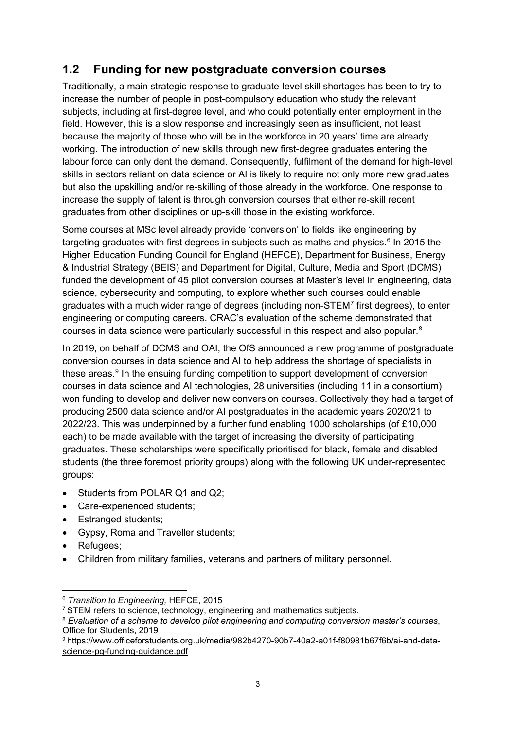### <span id="page-4-0"></span>**1.2 Funding for new postgraduate conversion courses**

Traditionally, a main strategic response to graduate-level skill shortages has been to try to increase the number of people in post-compulsory education who study the relevant subjects, including at first-degree level, and who could potentially enter employment in the field. However, this is a slow response and increasingly seen as insufficient, not least because the majority of those who will be in the workforce in 20 years' time are already working. The introduction of new skills through new first-degree graduates entering the labour force can only dent the demand. Consequently, fulfilment of the demand for high-level skills in sectors reliant on data science or AI is likely to require not only more new graduates but also the upskilling and/or re-skilling of those already in the workforce. One response to increase the supply of talent is through conversion courses that either re-skill recent graduates from other disciplines or up-skill those in the existing workforce.

Some courses at MSc level already provide 'conversion' to fields like engineering by targeting graduates with first degrees in subjects such as maths and physics. [6](#page-4-1) In 2015 the Higher Education Funding Council for England (HEFCE), Department for Business, Energy & Industrial Strategy (BEIS) and Department for Digital, Culture, Media and Sport (DCMS) funded the development of 45 pilot conversion courses at Master's level in engineering, data science, cybersecurity and computing, to explore whether such courses could enable graduates with a much wider range of degrees (including non- $\text{STEM}^7$  $\text{STEM}^7$  first degrees), to enter engineering or computing careers. CRAC's evaluation of the scheme demonstrated that courses in data science were particularly successful in this respect and also popular. [8](#page-4-3)

In 2019, on behalf of DCMS and OAI, the OfS announced a new programme of postgraduate conversion courses in data science and AI to help address the shortage of specialists in these areas.<sup>[9](#page-4-4)</sup> In the ensuing funding competition to support development of conversion courses in data science and AI technologies, 28 universities (including 11 in a consortium) won funding to develop and deliver new conversion courses. Collectively they had a target of producing 2500 data science and/or AI postgraduates in the academic years 2020/21 to 2022/23. This was underpinned by a further fund enabling 1000 scholarships (of £10,000 each) to be made available with the target of increasing the diversity of participating graduates. These scholarships were specifically prioritised for black, female and disabled students (the three foremost priority groups) along with the following UK under-represented groups:

- Students from POLAR Q1 and Q2:
- Care-experienced students;
- Estranged students;
- Gypsy, Roma and Traveller students;
- Refugees;
- Children from military families, veterans and partners of military personnel.

<span id="page-4-1"></span><sup>6</sup> *Transition to Engineering,* HEFCE, 2015

<span id="page-4-2"></span><sup>&</sup>lt;sup>7</sup> STEM refers to science, technology, engineering and mathematics subjects.

<span id="page-4-3"></span><sup>8</sup> *Evaluation of a scheme to develop pilot engineering and computing conversion master's courses*, Office for Students, 2019

<span id="page-4-4"></span><sup>9</sup> [https://www.officeforstudents.org.uk/media/982b4270-90b7-40a2-a01f-f80981b67f6b/ai-and-data](https://www.officeforstudents.org.uk/media/982b4270-90b7-40a2-a01f-f80981b67f6b/ai-and-data-science-pg-funding-guidance.pdf)[science-pg-funding-guidance.pdf](https://www.officeforstudents.org.uk/media/982b4270-90b7-40a2-a01f-f80981b67f6b/ai-and-data-science-pg-funding-guidance.pdf)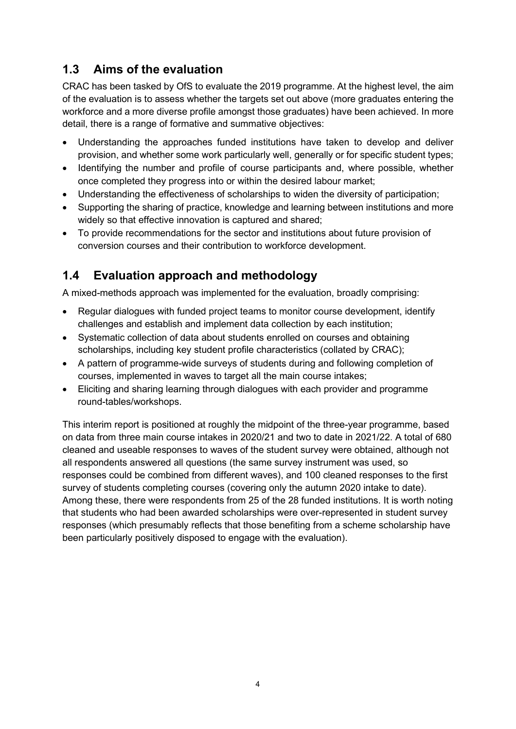### <span id="page-5-0"></span>**1.3 Aims of the evaluation**

CRAC has been tasked by OfS to evaluate the 2019 programme. At the highest level, the aim of the evaluation is to assess whether the targets set out above (more graduates entering the workforce and a more diverse profile amongst those graduates) have been achieved. In more detail, there is a range of formative and summative objectives:

- Understanding the approaches funded institutions have taken to develop and deliver provision, and whether some work particularly well, generally or for specific student types;
- Identifying the number and profile of course participants and, where possible, whether once completed they progress into or within the desired labour market;
- Understanding the effectiveness of scholarships to widen the diversity of participation;
- Supporting the sharing of practice, knowledge and learning between institutions and more widely so that effective innovation is captured and shared;
- To provide recommendations for the sector and institutions about future provision of conversion courses and their contribution to workforce development.

## <span id="page-5-1"></span>**1.4 Evaluation approach and methodology**

A mixed-methods approach was implemented for the evaluation, broadly comprising:

- Regular dialogues with funded project teams to monitor course development, identify challenges and establish and implement data collection by each institution;
- Systematic collection of data about students enrolled on courses and obtaining scholarships, including key student profile characteristics (collated by CRAC);
- A pattern of programme-wide surveys of students during and following completion of courses, implemented in waves to target all the main course intakes;
- Eliciting and sharing learning through dialogues with each provider and programme round-tables/workshops.

This interim report is positioned at roughly the midpoint of the three-year programme, based on data from three main course intakes in 2020/21 and two to date in 2021/22. A total of 680 cleaned and useable responses to waves of the student survey were obtained, although not all respondents answered all questions (the same survey instrument was used, so responses could be combined from different waves), and 100 cleaned responses to the first survey of students completing courses (covering only the autumn 2020 intake to date). Among these, there were respondents from 25 of the 28 funded institutions. It is worth noting that students who had been awarded scholarships were over-represented in student survey responses (which presumably reflects that those benefiting from a scheme scholarship have been particularly positively disposed to engage with the evaluation).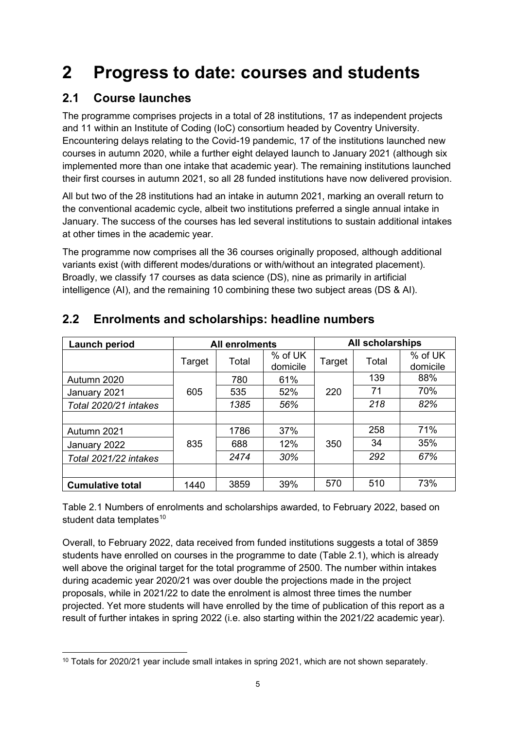# <span id="page-6-0"></span>**2 Progress to date: courses and students**

## <span id="page-6-1"></span>**2.1 Course launches**

The programme comprises projects in a total of 28 institutions, 17 as independent projects and 11 within an Institute of Coding (IoC) consortium headed by Coventry University. Encountering delays relating to the Covid-19 pandemic, 17 of the institutions launched new courses in autumn 2020, while a further eight delayed launch to January 2021 (although six implemented more than one intake that academic year). The remaining institutions launched their first courses in autumn 2021, so all 28 funded institutions have now delivered provision.

All but two of the 28 institutions had an intake in autumn 2021, marking an overall return to the conventional academic cycle, albeit two institutions preferred a single annual intake in January. The success of the courses has led several institutions to sustain additional intakes at other times in the academic year.

The programme now comprises all the 36 courses originally proposed, although additional variants exist (with different modes/durations or with/without an integrated placement). Broadly, we classify 17 courses as data science (DS), nine as primarily in artificial intelligence (AI), and the remaining 10 combining these two subject areas (DS & AI).

| Launch period           | <b>All enrolments</b> |       |                     | <b>All scholarships</b> |       |                     |
|-------------------------|-----------------------|-------|---------------------|-------------------------|-------|---------------------|
|                         | Target                | Total | % of UK<br>domicile | Target                  | Total | % of UK<br>domicile |
| Autumn 2020             |                       | 780   | 61%                 |                         | 139   | 88%                 |
| January 2021            | 605                   | 535   | 52%                 | 220                     | 71    | 70%                 |
| Total 2020/21 intakes   | 1385                  |       | 56%                 |                         | 218   | 82%                 |
|                         |                       |       |                     |                         |       |                     |
| Autumn 2021             |                       | 1786  | 37%                 |                         | 258   | 71%                 |
| January 2022            | 835                   | 688   | 12%                 | 350                     | 34    | 35%                 |
| Total 2021/22 intakes   |                       | 2474  | 30%                 |                         | 292   | 67%                 |
|                         |                       |       |                     |                         |       |                     |
| <b>Cumulative total</b> | 1440                  | 3859  | 39%                 | 570                     | 510   | 73%                 |

## <span id="page-6-2"></span>**2.2 Enrolments and scholarships: headline numbers**

Table 2.1 Numbers of enrolments and scholarships awarded, to February 2022, based on student data templates $10$ 

Overall, to February 2022, data received from funded institutions suggests a total of 3859 students have enrolled on courses in the programme to date (Table 2.1), which is already well above the original target for the total programme of 2500. The number within intakes during academic year 2020/21 was over double the projections made in the project proposals, while in 2021/22 to date the enrolment is almost three times the number projected. Yet more students will have enrolled by the time of publication of this report as a result of further intakes in spring 2022 (i.e. also starting within the 2021/22 academic year).

<span id="page-6-3"></span><sup>&</sup>lt;sup>10</sup> Totals for 2020/21 year include small intakes in spring 2021, which are not shown separately.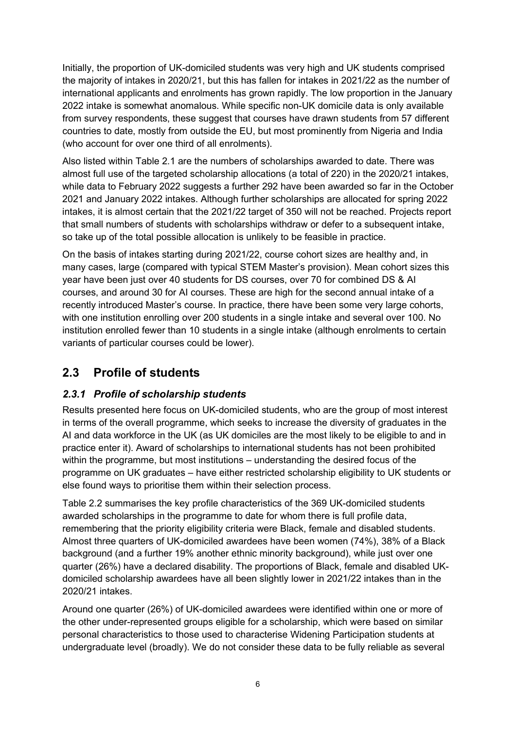Initially, the proportion of UK-domiciled students was very high and UK students comprised the majority of intakes in 2020/21, but this has fallen for intakes in 2021/22 as the number of international applicants and enrolments has grown rapidly. The low proportion in the January 2022 intake is somewhat anomalous. While specific non-UK domicile data is only available from survey respondents, these suggest that courses have drawn students from 57 different countries to date, mostly from outside the EU, but most prominently from Nigeria and India (who account for over one third of all enrolments).

Also listed within Table 2.1 are the numbers of scholarships awarded to date. There was almost full use of the targeted scholarship allocations (a total of 220) in the 2020/21 intakes, while data to February 2022 suggests a further 292 have been awarded so far in the October 2021 and January 2022 intakes. Although further scholarships are allocated for spring 2022 intakes, it is almost certain that the 2021/22 target of 350 will not be reached. Projects report that small numbers of students with scholarships withdraw or defer to a subsequent intake, so take up of the total possible allocation is unlikely to be feasible in practice.

On the basis of intakes starting during 2021/22, course cohort sizes are healthy and, in many cases, large (compared with typical STEM Master's provision). Mean cohort sizes this year have been just over 40 students for DS courses, over 70 for combined DS & AI courses, and around 30 for AI courses. These are high for the second annual intake of a recently introduced Master's course. In practice, there have been some very large cohorts, with one institution enrolling over 200 students in a single intake and several over 100. No institution enrolled fewer than 10 students in a single intake (although enrolments to certain variants of particular courses could be lower).

## <span id="page-7-0"></span>**2.3 Profile of students**

#### <span id="page-7-1"></span>*2.3.1 Profile of scholarship students*

Results presented here focus on UK-domiciled students, who are the group of most interest in terms of the overall programme, which seeks to increase the diversity of graduates in the AI and data workforce in the UK (as UK domiciles are the most likely to be eligible to and in practice enter it). Award of scholarships to international students has not been prohibited within the programme, but most institutions – understanding the desired focus of the programme on UK graduates – have either restricted scholarship eligibility to UK students or else found ways to prioritise them within their selection process.

Table 2.2 summarises the key profile characteristics of the 369 UK-domiciled students awarded scholarships in the programme to date for whom there is full profile data, remembering that the priority eligibility criteria were Black, female and disabled students. Almost three quarters of UK-domiciled awardees have been women (74%), 38% of a Black background (and a further 19% another ethnic minority background), while just over one quarter (26%) have a declared disability. The proportions of Black, female and disabled UKdomiciled scholarship awardees have all been slightly lower in 2021/22 intakes than in the 2020/21 intakes.

Around one quarter (26%) of UK-domiciled awardees were identified within one or more of the other under-represented groups eligible for a scholarship, which were based on similar personal characteristics to those used to characterise Widening Participation students at undergraduate level (broadly). We do not consider these data to be fully reliable as several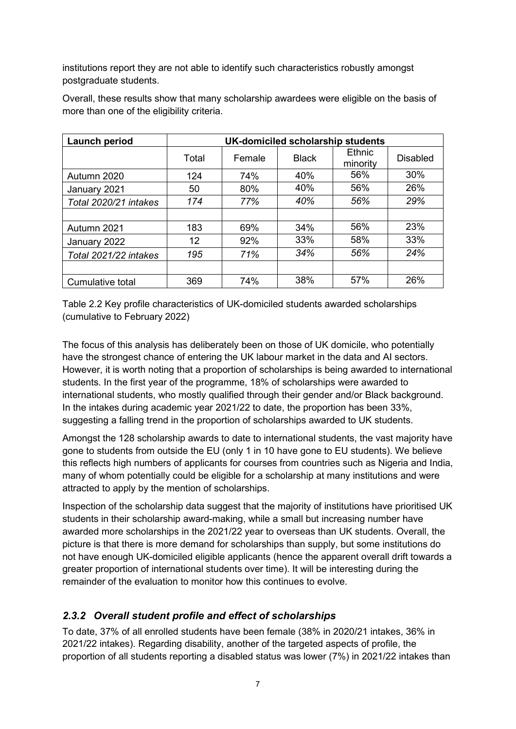institutions report they are not able to identify such characteristics robustly amongst postgraduate students.

| Launch period         | UK-domiciled scholarship students |        |              |                    |                 |  |
|-----------------------|-----------------------------------|--------|--------------|--------------------|-----------------|--|
|                       | Total                             | Female | <b>Black</b> | Ethnic<br>minority | <b>Disabled</b> |  |
| Autumn 2020           | 124                               | 74%    | 40%          | 56%                | 30%             |  |
| January 2021          | 50                                | 80%    | 40%          | 56%                | 26%             |  |
| Total 2020/21 intakes | 174                               | 77%    | 40%          | 56%                | 29%             |  |
|                       |                                   |        |              |                    |                 |  |
| Autumn 2021           | 183                               | 69%    | 34%          | 56%                | 23%             |  |
| January 2022          | 12                                | 92%    | 33%          | 58%                | 33%             |  |
| Total 2021/22 intakes | 195                               | 71%    | 34%          | 56%                | 24%             |  |
|                       |                                   |        |              |                    |                 |  |
| Cumulative total      | 369                               | 74%    | 38%          | 57%                | 26%             |  |

Overall, these results show that many scholarship awardees were eligible on the basis of more than one of the eligibility criteria.

Table 2.2 Key profile characteristics of UK-domiciled students awarded scholarships (cumulative to February 2022)

The focus of this analysis has deliberately been on those of UK domicile, who potentially have the strongest chance of entering the UK labour market in the data and AI sectors. However, it is worth noting that a proportion of scholarships is being awarded to international students. In the first year of the programme, 18% of scholarships were awarded to international students, who mostly qualified through their gender and/or Black background. In the intakes during academic year 2021/22 to date, the proportion has been 33%, suggesting a falling trend in the proportion of scholarships awarded to UK students.

Amongst the 128 scholarship awards to date to international students, the vast majority have gone to students from outside the EU (only 1 in 10 have gone to EU students). We believe this reflects high numbers of applicants for courses from countries such as Nigeria and India, many of whom potentially could be eligible for a scholarship at many institutions and were attracted to apply by the mention of scholarships.

Inspection of the scholarship data suggest that the majority of institutions have prioritised UK students in their scholarship award-making, while a small but increasing number have awarded more scholarships in the 2021/22 year to overseas than UK students. Overall, the picture is that there is more demand for scholarships than supply, but some institutions do not have enough UK-domiciled eligible applicants (hence the apparent overall drift towards a greater proportion of international students over time). It will be interesting during the remainder of the evaluation to monitor how this continues to evolve.

#### <span id="page-8-0"></span>*2.3.2 Overall student profile and effect of scholarships*

To date, 37% of all enrolled students have been female (38% in 2020/21 intakes, 36% in 2021/22 intakes). Regarding disability, another of the targeted aspects of profile, the proportion of all students reporting a disabled status was lower (7%) in 2021/22 intakes than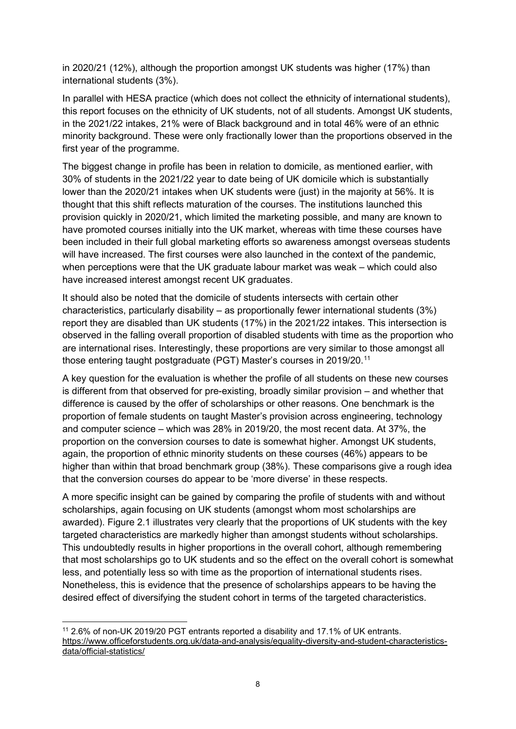in 2020/21 (12%), although the proportion amongst UK students was higher (17%) than international students (3%).

In parallel with HESA practice (which does not collect the ethnicity of international students), this report focuses on the ethnicity of UK students, not of all students. Amongst UK students, in the 2021/22 intakes, 21% were of Black background and in total 46% were of an ethnic minority background. These were only fractionally lower than the proportions observed in the first year of the programme.

The biggest change in profile has been in relation to domicile, as mentioned earlier, with 30% of students in the 2021/22 year to date being of UK domicile which is substantially lower than the 2020/21 intakes when UK students were (just) in the majority at 56%. It is thought that this shift reflects maturation of the courses. The institutions launched this provision quickly in 2020/21, which limited the marketing possible, and many are known to have promoted courses initially into the UK market, whereas with time these courses have been included in their full global marketing efforts so awareness amongst overseas students will have increased. The first courses were also launched in the context of the pandemic, when perceptions were that the UK graduate labour market was weak – which could also have increased interest amongst recent UK graduates.

It should also be noted that the domicile of students intersects with certain other characteristics, particularly disability – as proportionally fewer international students (3%) report they are disabled than UK students (17%) in the 2021/22 intakes. This intersection is observed in the falling overall proportion of disabled students with time as the proportion who are international rises. Interestingly, these proportions are very similar to those amongst all those entering taught postgraduate (PGT) Master's courses in 2019/20. [11](#page-9-0)

A key question for the evaluation is whether the profile of all students on these new courses is different from that observed for pre-existing, broadly similar provision – and whether that difference is caused by the offer of scholarships or other reasons. One benchmark is the proportion of female students on taught Master's provision across engineering, technology and computer science – which was 28% in 2019/20, the most recent data. At 37%, the proportion on the conversion courses to date is somewhat higher. Amongst UK students, again, the proportion of ethnic minority students on these courses (46%) appears to be higher than within that broad benchmark group (38%). These comparisons give a rough idea that the conversion courses do appear to be 'more diverse' in these respects.

A more specific insight can be gained by comparing the profile of students with and without scholarships, again focusing on UK students (amongst whom most scholarships are awarded). Figure 2.1 illustrates very clearly that the proportions of UK students with the key targeted characteristics are markedly higher than amongst students without scholarships. This undoubtedly results in higher proportions in the overall cohort, although remembering that most scholarships go to UK students and so the effect on the overall cohort is somewhat less, and potentially less so with time as the proportion of international students rises. Nonetheless, this is evidence that the presence of scholarships appears to be having the desired effect of diversifying the student cohort in terms of the targeted characteristics.

<span id="page-9-0"></span><sup>11</sup> 2.6% of non-UK 2019/20 PGT entrants reported a disability and 17.1% of UK entrants. [https://www.officeforstudents.org.uk/data-and-analysis/equality-diversity-and-student-characteristics](https://www.officeforstudents.org.uk/data-and-analysis/equality-diversity-and-student-characteristics-data/official-statistics/)[data/official-statistics/](https://www.officeforstudents.org.uk/data-and-analysis/equality-diversity-and-student-characteristics-data/official-statistics/)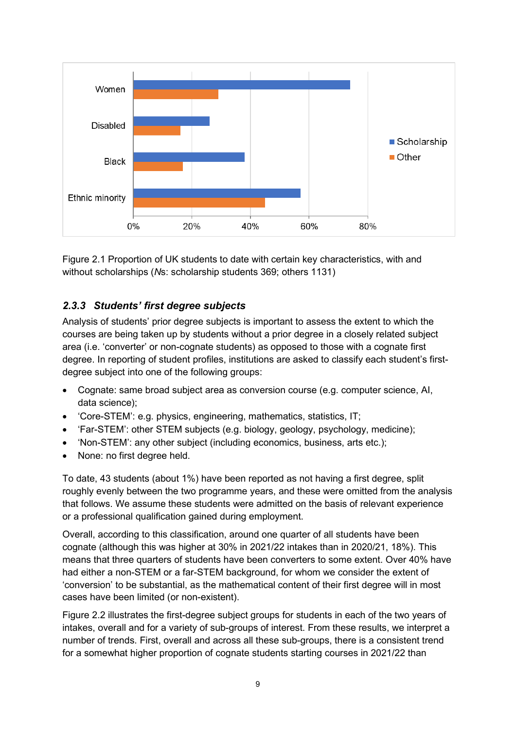

Figure 2.1 Proportion of UK students to date with certain key characteristics, with and without scholarships (*N*s: scholarship students 369; others 1131)

#### <span id="page-10-0"></span>*2.3.3 Students' first degree subjects*

Analysis of students' prior degree subjects is important to assess the extent to which the courses are being taken up by students without a prior degree in a closely related subject area (i.e. 'converter' or non-cognate students) as opposed to those with a cognate first degree. In reporting of student profiles, institutions are asked to classify each student's firstdegree subject into one of the following groups:

- Cognate: same broad subject area as conversion course (e.g. computer science, AI, data science);
- 'Core-STEM': e.g. physics, engineering, mathematics, statistics, IT;
- 'Far-STEM': other STEM subjects (e.g. biology, geology, psychology, medicine);
- 'Non-STEM': any other subject (including economics, business, arts etc.);
- None: no first degree held.

To date, 43 students (about 1%) have been reported as not having a first degree, split roughly evenly between the two programme years, and these were omitted from the analysis that follows. We assume these students were admitted on the basis of relevant experience or a professional qualification gained during employment.

Overall, according to this classification, around one quarter of all students have been cognate (although this was higher at 30% in 2021/22 intakes than in 2020/21, 18%). This means that three quarters of students have been converters to some extent. Over 40% have had either a non-STEM or a far-STEM background, for whom we consider the extent of 'conversion' to be substantial, as the mathematical content of their first degree will in most cases have been limited (or non-existent).

Figure 2.2 illustrates the first-degree subject groups for students in each of the two years of intakes, overall and for a variety of sub-groups of interest. From these results, we interpret a number of trends. First, overall and across all these sub-groups, there is a consistent trend for a somewhat higher proportion of cognate students starting courses in 2021/22 than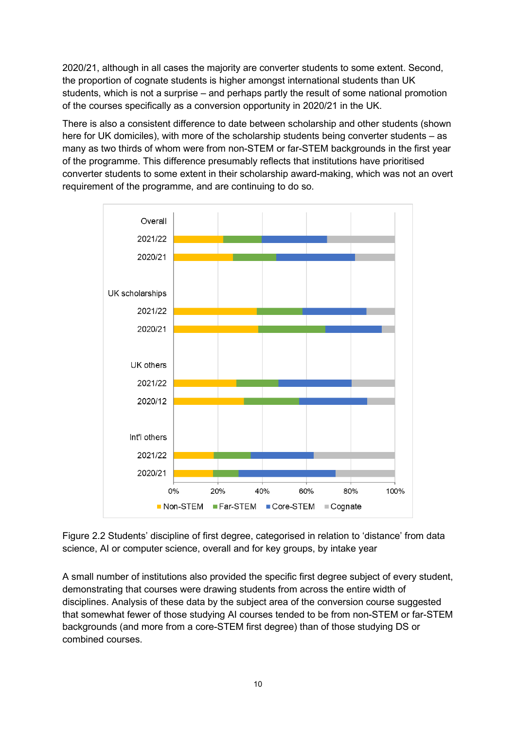2020/21, although in all cases the majority are converter students to some extent. Second, the proportion of cognate students is higher amongst international students than UK students, which is not a surprise – and perhaps partly the result of some national promotion of the courses specifically as a conversion opportunity in 2020/21 in the UK.

There is also a consistent difference to date between scholarship and other students (shown here for UK domiciles), with more of the scholarship students being converter students – as many as two thirds of whom were from non-STEM or far-STEM backgrounds in the first year of the programme. This difference presumably reflects that institutions have prioritised converter students to some extent in their scholarship award-making, which was not an overt requirement of the programme, and are continuing to do so.



Figure 2.2 Students' discipline of first degree, categorised in relation to 'distance' from data science, AI or computer science, overall and for key groups, by intake year

A small number of institutions also provided the specific first degree subject of every student, demonstrating that courses were drawing students from across the entire width of disciplines. Analysis of these data by the subject area of the conversion course suggested that somewhat fewer of those studying AI courses tended to be from non-STEM or far-STEM backgrounds (and more from a core-STEM first degree) than of those studying DS or combined courses.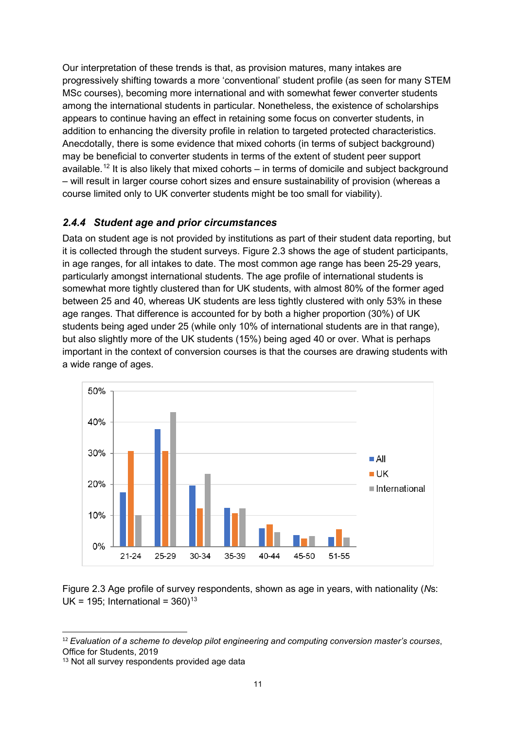Our interpretation of these trends is that, as provision matures, many intakes are progressively shifting towards a more 'conventional' student profile (as seen for many STEM MSc courses), becoming more international and with somewhat fewer converter students among the international students in particular. Nonetheless, the existence of scholarships appears to continue having an effect in retaining some focus on converter students, in addition to enhancing the diversity profile in relation to targeted protected characteristics. Anecdotally, there is some evidence that mixed cohorts (in terms of subject background) may be beneficial to converter students in terms of the extent of student peer support available. [12](#page-12-1) It is also likely that mixed cohorts – in terms of domicile and subject background – will result in larger course cohort sizes and ensure sustainability of provision (whereas a course limited only to UK converter students might be too small for viability).

#### <span id="page-12-0"></span>*2.4.4 Student age and prior circumstances*

Data on student age is not provided by institutions as part of their student data reporting, but it is collected through the student surveys. Figure 2.3 shows the age of student participants, in age ranges, for all intakes to date. The most common age range has been 25-29 years, particularly amongst international students. The age profile of international students is somewhat more tightly clustered than for UK students, with almost 80% of the former aged between 25 and 40, whereas UK students are less tightly clustered with only 53% in these age ranges. That difference is accounted for by both a higher proportion (30%) of UK students being aged under 25 (while only 10% of international students are in that range), but also slightly more of the UK students (15%) being aged 40 or over. What is perhaps important in the context of conversion courses is that the courses are drawing students with a wide range of ages.



Figure 2.3 Age profile of survey respondents, shown as age in years, with nationality (*N*s: UK = 195; International =  $360$ <sup>[13](#page-12-2)</sup>

<span id="page-12-1"></span><sup>12</sup> *Evaluation of a scheme to develop pilot engineering and computing conversion master's courses*, Office for Students, 2019

<span id="page-12-2"></span><sup>&</sup>lt;sup>13</sup> Not all survey respondents provided age data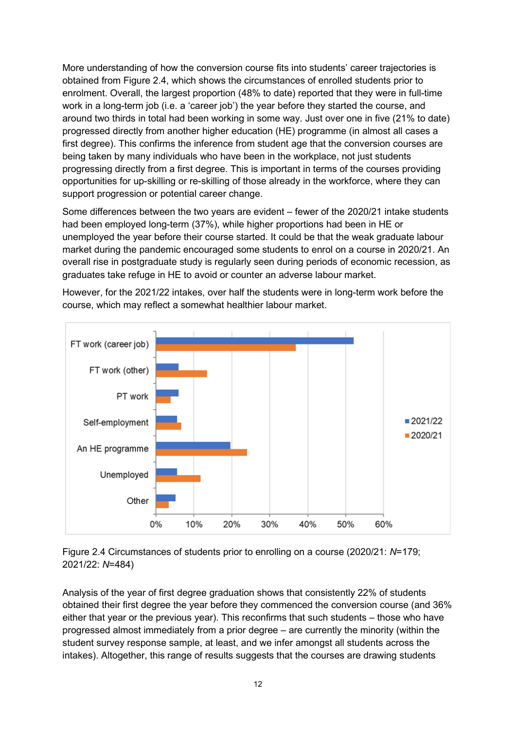More understanding of how the conversion course fits into students' career trajectories is obtained from Figure 2.4, which shows the circumstances of enrolled students prior to enrolment. Overall, the largest proportion (48% to date) reported that they were in full-time work in a long-term job (i.e. a 'career job') the year before they started the course, and around two thirds in total had been working in some way. Just over one in five (21% to date) progressed directly from another higher education (HE) programme (in almost all cases a first degree). This confirms the inference from student age that the conversion courses are being taken by many individuals who have been in the workplace, not just students progressing directly from a first degree. This is important in terms of the courses providing opportunities for up-skilling or re-skilling of those already in the workforce, where they can support progression or potential career change.

Some differences between the two years are evident – fewer of the 2020/21 intake students had been employed long-term (37%), while higher proportions had been in HE or unemployed the year before their course started. It could be that the weak graduate labour market during the pandemic encouraged some students to enrol on a course in 2020/21. An overall rise in postgraduate study is regularly seen during periods of economic recession, as graduates take refuge in HE to avoid or counter an adverse labour market.



However, for the 2021/22 intakes, over half the students were in long-term work before the course, which may reflect a somewhat healthier labour market.

Figure 2.4 Circumstances of students prior to enrolling on a course (2020/21: *N*=179; 2021/22: *N*=484)

Analysis of the year of first degree graduation shows that consistently 22% of students obtained their first degree the year before they commenced the conversion course (and 36% either that year or the previous year). This reconfirms that such students – those who have progressed almost immediately from a prior degree – are currently the minority (within the student survey response sample, at least, and we infer amongst all students across the intakes). Altogether, this range of results suggests that the courses are drawing students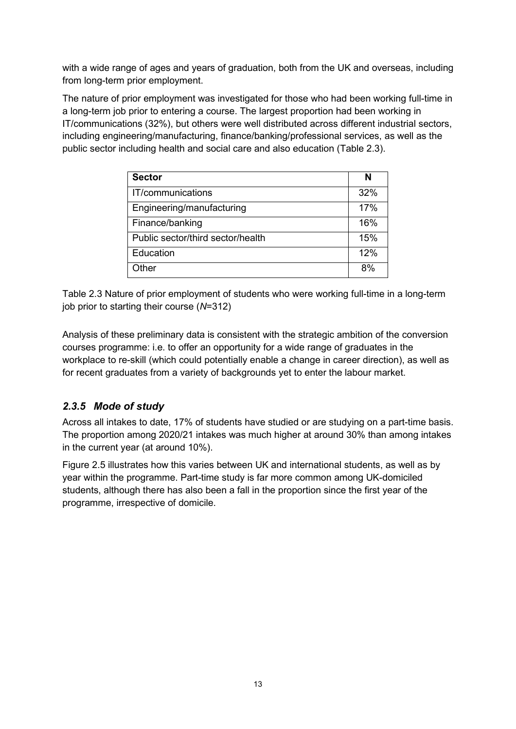with a wide range of ages and years of graduation, both from the UK and overseas, including from long-term prior employment.

The nature of prior employment was investigated for those who had been working full-time in a long-term job prior to entering a course. The largest proportion had been working in IT/communications (32%), but others were well distributed across different industrial sectors, including engineering/manufacturing, finance/banking/professional services, as well as the public sector including health and social care and also education (Table 2.3).

| <b>Sector</b>                     | N   |
|-----------------------------------|-----|
| IT/communications                 | 32% |
| Engineering/manufacturing         | 17% |
| Finance/banking                   | 16% |
| Public sector/third sector/health | 15% |
| Education                         | 12% |
| Other                             | 8%  |

Table 2.3 Nature of prior employment of students who were working full-time in a long-term job prior to starting their course (*N*=312)

Analysis of these preliminary data is consistent with the strategic ambition of the conversion courses programme: i.e. to offer an opportunity for a wide range of graduates in the workplace to re-skill (which could potentially enable a change in career direction), as well as for recent graduates from a variety of backgrounds yet to enter the labour market.

#### <span id="page-14-0"></span>*2.3.5 Mode of study*

Across all intakes to date, 17% of students have studied or are studying on a part-time basis. The proportion among 2020/21 intakes was much higher at around 30% than among intakes in the current year (at around 10%).

Figure 2.5 illustrates how this varies between UK and international students, as well as by year within the programme. Part-time study is far more common among UK-domiciled students, although there has also been a fall in the proportion since the first year of the programme, irrespective of domicile.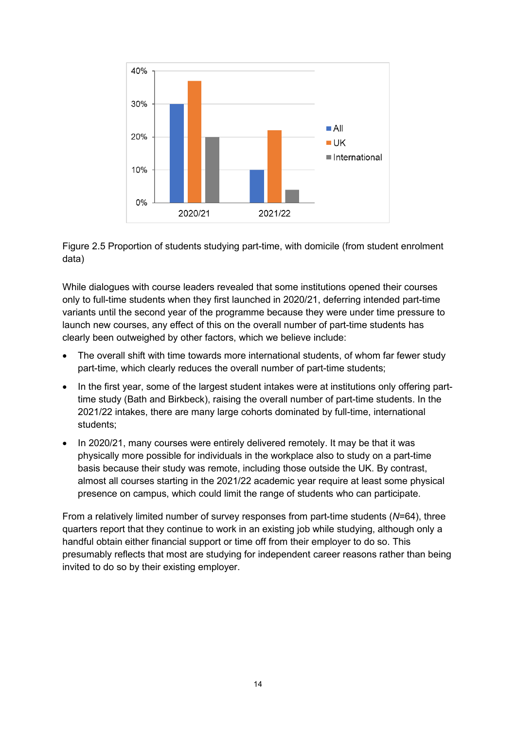

Figure 2.5 Proportion of students studying part-time, with domicile (from student enrolment data)

While dialogues with course leaders revealed that some institutions opened their courses only to full-time students when they first launched in 2020/21, deferring intended part-time variants until the second year of the programme because they were under time pressure to launch new courses, any effect of this on the overall number of part-time students has clearly been outweighed by other factors, which we believe include:

- The overall shift with time towards more international students, of whom far fewer study part-time, which clearly reduces the overall number of part-time students;
- In the first year, some of the largest student intakes were at institutions only offering parttime study (Bath and Birkbeck), raising the overall number of part-time students. In the 2021/22 intakes, there are many large cohorts dominated by full-time, international students;
- In 2020/21, many courses were entirely delivered remotely. It may be that it was physically more possible for individuals in the workplace also to study on a part-time basis because their study was remote, including those outside the UK. By contrast, almost all courses starting in the 2021/22 academic year require at least some physical presence on campus, which could limit the range of students who can participate.

From a relatively limited number of survey responses from part-time students (*N*=64), three quarters report that they continue to work in an existing job while studying, although only a handful obtain either financial support or time off from their employer to do so. This presumably reflects that most are studying for independent career reasons rather than being invited to do so by their existing employer.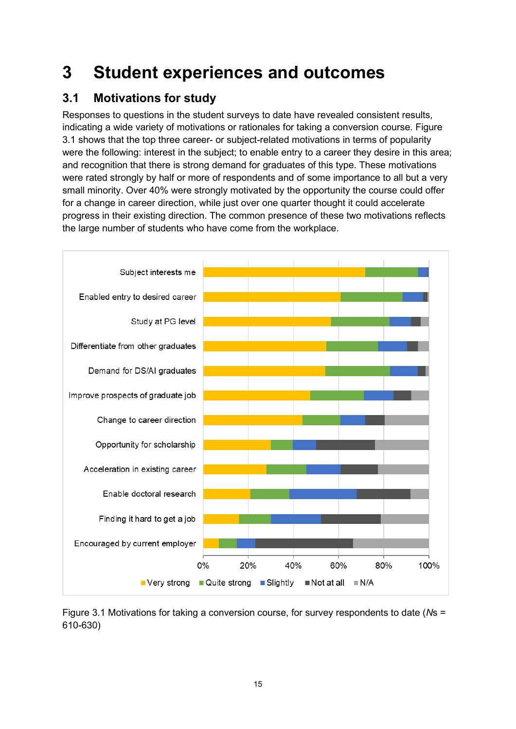## <span id="page-16-0"></span>**3 Student experiences and outcomes**

## <span id="page-16-1"></span>**3.1 Motivations for study**

Responses to questions in the student surveys to date have revealed consistent results, indicating a wide variety of motivations or rationales for taking a conversion course. Figure 3.1 shows that the top three career- or subject-related motivations in terms of popularity were the following: interest in the subject; to enable entry to a career they desire in this area; and recognition that there is strong demand for graduates of this type. These motivations were rated strongly by half or more of respondents and of some importance to all but a very small minority. Over 40% were strongly motivated by the opportunity the course could offer for a change in career direction, while just over one quarter thought it could accelerate progress in their existing direction. The common presence of these two motivations reflects the large number of students who have come from the workplace.



Figure 3.1 Motivations for taking a conversion course, for survey respondents to date (*N*s = 610-630)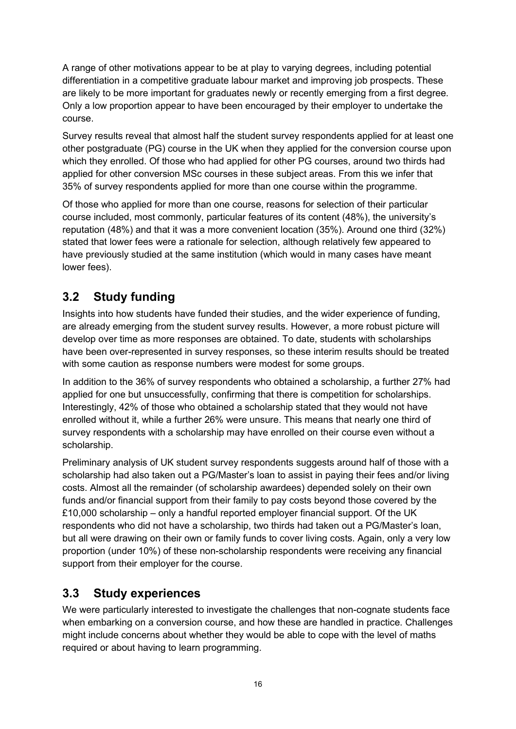A range of other motivations appear to be at play to varying degrees, including potential differentiation in a competitive graduate labour market and improving job prospects. These are likely to be more important for graduates newly or recently emerging from a first degree. Only a low proportion appear to have been encouraged by their employer to undertake the course.

Survey results reveal that almost half the student survey respondents applied for at least one other postgraduate (PG) course in the UK when they applied for the conversion course upon which they enrolled. Of those who had applied for other PG courses, around two thirds had applied for other conversion MSc courses in these subject areas. From this we infer that 35% of survey respondents applied for more than one course within the programme.

Of those who applied for more than one course, reasons for selection of their particular course included, most commonly, particular features of its content (48%), the university's reputation (48%) and that it was a more convenient location (35%). Around one third (32%) stated that lower fees were a rationale for selection, although relatively few appeared to have previously studied at the same institution (which would in many cases have meant lower fees).

### <span id="page-17-0"></span>**3.2 Study funding**

Insights into how students have funded their studies, and the wider experience of funding, are already emerging from the student survey results. However, a more robust picture will develop over time as more responses are obtained. To date, students with scholarships have been over-represented in survey responses, so these interim results should be treated with some caution as response numbers were modest for some groups.

In addition to the 36% of survey respondents who obtained a scholarship, a further 27% had applied for one but unsuccessfully, confirming that there is competition for scholarships. Interestingly, 42% of those who obtained a scholarship stated that they would not have enrolled without it, while a further 26% were unsure. This means that nearly one third of survey respondents with a scholarship may have enrolled on their course even without a scholarship.

Preliminary analysis of UK student survey respondents suggests around half of those with a scholarship had also taken out a PG/Master's loan to assist in paying their fees and/or living costs. Almost all the remainder (of scholarship awardees) depended solely on their own funds and/or financial support from their family to pay costs beyond those covered by the £10,000 scholarship – only a handful reported employer financial support. Of the UK respondents who did not have a scholarship, two thirds had taken out a PG/Master's loan, but all were drawing on their own or family funds to cover living costs. Again, only a very low proportion (under 10%) of these non-scholarship respondents were receiving any financial support from their employer for the course.

### <span id="page-17-1"></span>**3.3 Study experiences**

We were particularly interested to investigate the challenges that non-cognate students face when embarking on a conversion course, and how these are handled in practice. Challenges might include concerns about whether they would be able to cope with the level of maths required or about having to learn programming.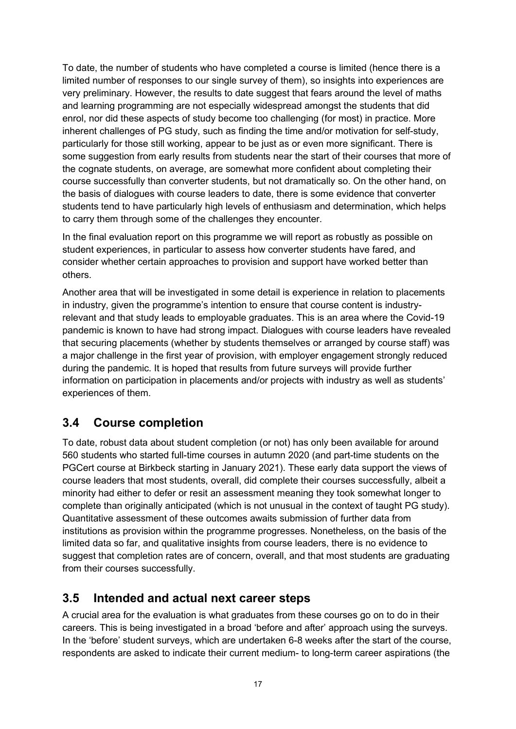To date, the number of students who have completed a course is limited (hence there is a limited number of responses to our single survey of them), so insights into experiences are very preliminary. However, the results to date suggest that fears around the level of maths and learning programming are not especially widespread amongst the students that did enrol, nor did these aspects of study become too challenging (for most) in practice. More inherent challenges of PG study, such as finding the time and/or motivation for self-study, particularly for those still working, appear to be just as or even more significant. There is some suggestion from early results from students near the start of their courses that more of the cognate students, on average, are somewhat more confident about completing their course successfully than converter students, but not dramatically so. On the other hand, on the basis of dialogues with course leaders to date, there is some evidence that converter students tend to have particularly high levels of enthusiasm and determination, which helps to carry them through some of the challenges they encounter.

In the final evaluation report on this programme we will report as robustly as possible on student experiences, in particular to assess how converter students have fared, and consider whether certain approaches to provision and support have worked better than others.

Another area that will be investigated in some detail is experience in relation to placements in industry, given the programme's intention to ensure that course content is industryrelevant and that study leads to employable graduates. This is an area where the Covid-19 pandemic is known to have had strong impact. Dialogues with course leaders have revealed that securing placements (whether by students themselves or arranged by course staff) was a major challenge in the first year of provision, with employer engagement strongly reduced during the pandemic. It is hoped that results from future surveys will provide further information on participation in placements and/or projects with industry as well as students' experiences of them.

### <span id="page-18-0"></span>**3.4 Course completion**

To date, robust data about student completion (or not) has only been available for around 560 students who started full-time courses in autumn 2020 (and part-time students on the PGCert course at Birkbeck starting in January 2021). These early data support the views of course leaders that most students, overall, did complete their courses successfully, albeit a minority had either to defer or resit an assessment meaning they took somewhat longer to complete than originally anticipated (which is not unusual in the context of taught PG study). Quantitative assessment of these outcomes awaits submission of further data from institutions as provision within the programme progresses. Nonetheless, on the basis of the limited data so far, and qualitative insights from course leaders, there is no evidence to suggest that completion rates are of concern, overall, and that most students are graduating from their courses successfully.

### <span id="page-18-1"></span>**3.5 Intended and actual next career steps**

A crucial area for the evaluation is what graduates from these courses go on to do in their careers. This is being investigated in a broad 'before and after' approach using the surveys. In the 'before' student surveys, which are undertaken 6-8 weeks after the start of the course, respondents are asked to indicate their current medium- to long-term career aspirations (the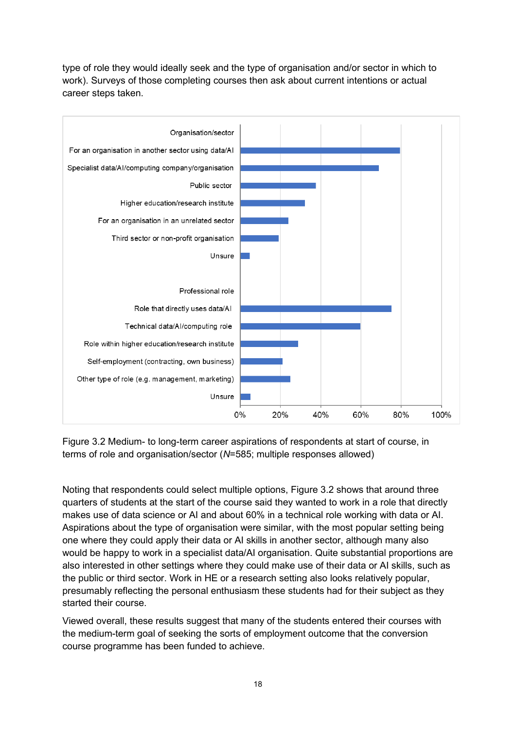type of role they would ideally seek and the type of organisation and/or sector in which to work). Surveys of those completing courses then ask about current intentions or actual career steps taken.



Figure 3.2 Medium- to long-term career aspirations of respondents at start of course, in terms of role and organisation/sector (*N*=585; multiple responses allowed)

Noting that respondents could select multiple options, Figure 3.2 shows that around three quarters of students at the start of the course said they wanted to work in a role that directly makes use of data science or AI and about 60% in a technical role working with data or AI. Aspirations about the type of organisation were similar, with the most popular setting being one where they could apply their data or AI skills in another sector, although many also would be happy to work in a specialist data/AI organisation. Quite substantial proportions are also interested in other settings where they could make use of their data or AI skills, such as the public or third sector. Work in HE or a research setting also looks relatively popular, presumably reflecting the personal enthusiasm these students had for their subject as they started their course.

Viewed overall, these results suggest that many of the students entered their courses with the medium-term goal of seeking the sorts of employment outcome that the conversion course programme has been funded to achieve.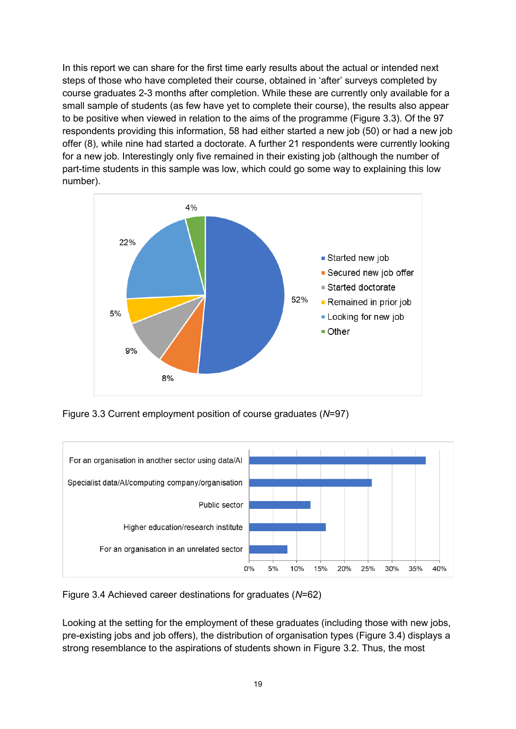In this report we can share for the first time early results about the actual or intended next steps of those who have completed their course, obtained in 'after' surveys completed by course graduates 2-3 months after completion. While these are currently only available for a small sample of students (as few have yet to complete their course), the results also appear to be positive when viewed in relation to the aims of the programme (Figure 3.3). Of the 97 respondents providing this information, 58 had either started a new job (50) or had a new job offer (8), while nine had started a doctorate. A further 21 respondents were currently looking for a new job. Interestingly only five remained in their existing job (although the number of part-time students in this sample was low, which could go some way to explaining this low number).



Figure 3.3 Current employment position of course graduates (*N*=97)



Figure 3.4 Achieved career destinations for graduates (*N*=62)

Looking at the setting for the employment of these graduates (including those with new jobs, pre-existing jobs and job offers), the distribution of organisation types (Figure 3.4) displays a strong resemblance to the aspirations of students shown in Figure 3.2. Thus, the most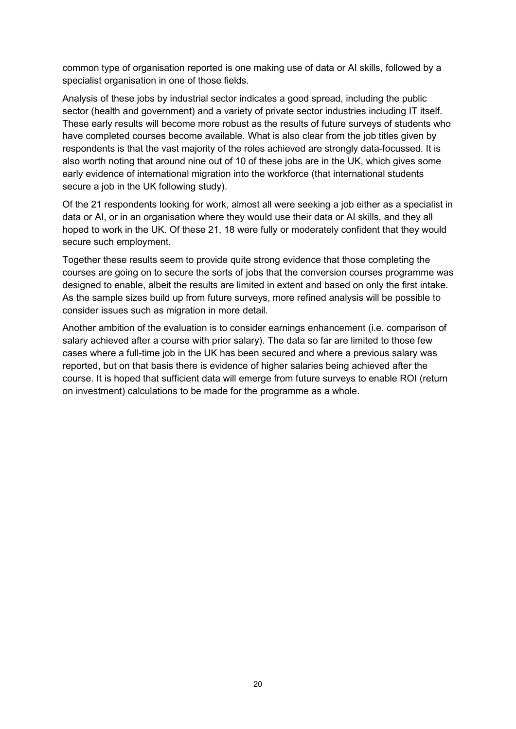common type of organisation reported is one making use of data or AI skills, followed by a specialist organisation in one of those fields.

Analysis of these jobs by industrial sector indicates a good spread, including the public sector (health and government) and a variety of private sector industries including IT itself. These early results will become more robust as the results of future surveys of students who have completed courses become available. What is also clear from the job titles given by respondents is that the vast majority of the roles achieved are strongly data-focussed. It is also worth noting that around nine out of 10 of these jobs are in the UK, which gives some early evidence of international migration into the workforce (that international students secure a job in the UK following study).

Of the 21 respondents looking for work, almost all were seeking a job either as a specialist in data or AI, or in an organisation where they would use their data or AI skills, and they all hoped to work in the UK. Of these 21, 18 were fully or moderately confident that they would secure such employment.

Together these results seem to provide quite strong evidence that those completing the courses are going on to secure the sorts of jobs that the conversion courses programme was designed to enable, albeit the results are limited in extent and based on only the first intake. As the sample sizes build up from future surveys, more refined analysis will be possible to consider issues such as migration in more detail.

Another ambition of the evaluation is to consider earnings enhancement (i.e. comparison of salary achieved after a course with prior salary). The data so far are limited to those few cases where a full-time job in the UK has been secured and where a previous salary was reported, but on that basis there is evidence of higher salaries being achieved after the course. It is hoped that sufficient data will emerge from future surveys to enable ROI (return on investment) calculations to be made for the programme as a whole.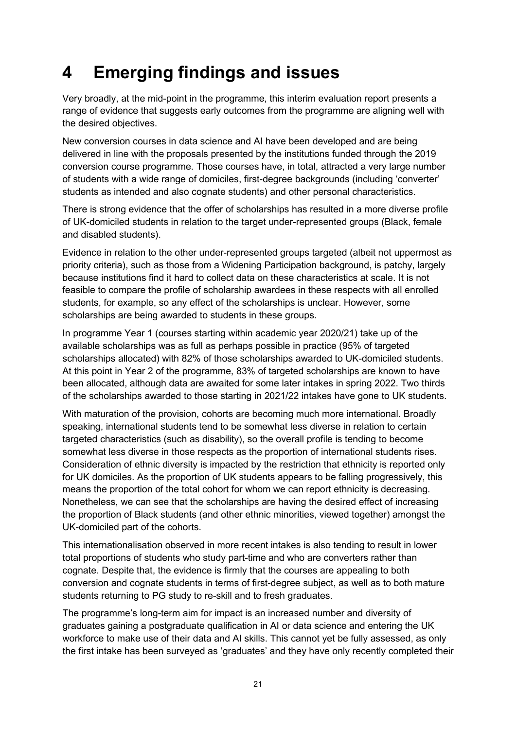# <span id="page-22-0"></span>**4 Emerging findings and issues**

Very broadly, at the mid-point in the programme, this interim evaluation report presents a range of evidence that suggests early outcomes from the programme are aligning well with the desired objectives.

New conversion courses in data science and AI have been developed and are being delivered in line with the proposals presented by the institutions funded through the 2019 conversion course programme. Those courses have, in total, attracted a very large number of students with a wide range of domiciles, first-degree backgrounds (including 'converter' students as intended and also cognate students) and other personal characteristics.

There is strong evidence that the offer of scholarships has resulted in a more diverse profile of UK-domiciled students in relation to the target under-represented groups (Black, female and disabled students).

Evidence in relation to the other under-represented groups targeted (albeit not uppermost as priority criteria), such as those from a Widening Participation background, is patchy, largely because institutions find it hard to collect data on these characteristics at scale. It is not feasible to compare the profile of scholarship awardees in these respects with all enrolled students, for example, so any effect of the scholarships is unclear. However, some scholarships are being awarded to students in these groups.

In programme Year 1 (courses starting within academic year 2020/21) take up of the available scholarships was as full as perhaps possible in practice (95% of targeted scholarships allocated) with 82% of those scholarships awarded to UK-domiciled students. At this point in Year 2 of the programme, 83% of targeted scholarships are known to have been allocated, although data are awaited for some later intakes in spring 2022. Two thirds of the scholarships awarded to those starting in 2021/22 intakes have gone to UK students.

With maturation of the provision, cohorts are becoming much more international. Broadly speaking, international students tend to be somewhat less diverse in relation to certain targeted characteristics (such as disability), so the overall profile is tending to become somewhat less diverse in those respects as the proportion of international students rises. Consideration of ethnic diversity is impacted by the restriction that ethnicity is reported only for UK domiciles. As the proportion of UK students appears to be falling progressively, this means the proportion of the total cohort for whom we can report ethnicity is decreasing. Nonetheless, we can see that the scholarships are having the desired effect of increasing the proportion of Black students (and other ethnic minorities, viewed together) amongst the UK-domiciled part of the cohorts.

This internationalisation observed in more recent intakes is also tending to result in lower total proportions of students who study part-time and who are converters rather than cognate. Despite that, the evidence is firmly that the courses are appealing to both conversion and cognate students in terms of first-degree subject, as well as to both mature students returning to PG study to re-skill and to fresh graduates.

The programme's long-term aim for impact is an increased number and diversity of graduates gaining a postgraduate qualification in AI or data science and entering the UK workforce to make use of their data and AI skills. This cannot yet be fully assessed, as only the first intake has been surveyed as 'graduates' and they have only recently completed their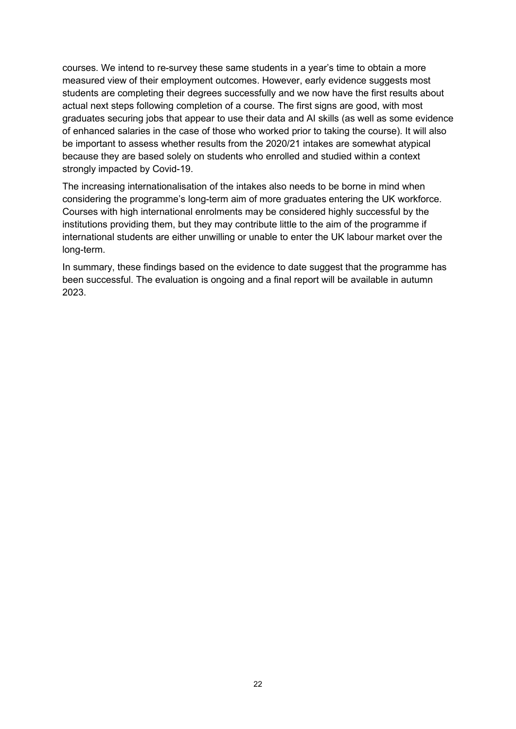courses. We intend to re-survey these same students in a year's time to obtain a more measured view of their employment outcomes. However, early evidence suggests most students are completing their degrees successfully and we now have the first results about actual next steps following completion of a course. The first signs are good, with most graduates securing jobs that appear to use their data and AI skills (as well as some evidence of enhanced salaries in the case of those who worked prior to taking the course). It will also be important to assess whether results from the 2020/21 intakes are somewhat atypical because they are based solely on students who enrolled and studied within a context strongly impacted by Covid-19.

The increasing internationalisation of the intakes also needs to be borne in mind when considering the programme's long-term aim of more graduates entering the UK workforce. Courses with high international enrolments may be considered highly successful by the institutions providing them, but they may contribute little to the aim of the programme if international students are either unwilling or unable to enter the UK labour market over the long-term.

In summary, these findings based on the evidence to date suggest that the programme has been successful. The evaluation is ongoing and a final report will be available in autumn 2023.